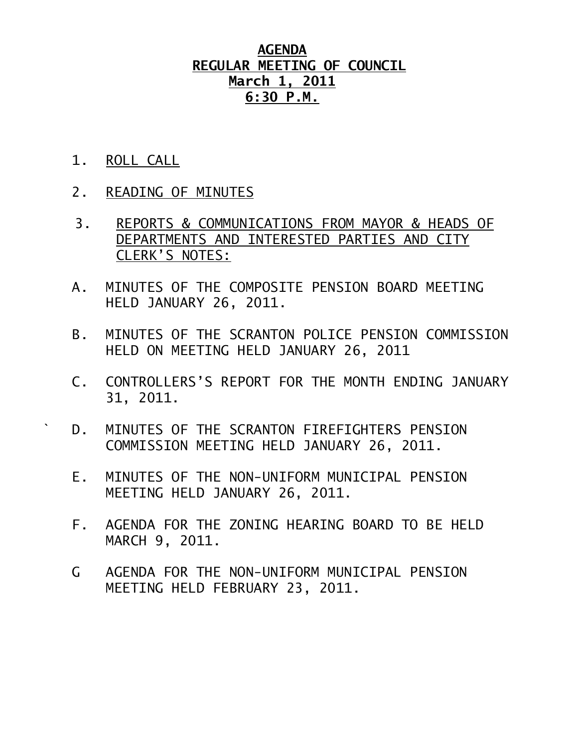## **AGENDA REGULAR MEETING OF COUNCIL March 1, 2011 6:30 P.M.**

- 1. ROLL CALL
- 2. READING OF MINUTES
- 3. REPORTS & COMMUNICATIONS FROM MAYOR & HEADS OF DEPARTMENTS AND INTERESTED PARTIES AND CITY CLERK'S NOTES:
- A. MINUTES OF THE COMPOSITE PENSION BOARD MEETING HELD JANUARY 26, 2011.
- B. MINUTES OF THE SCRANTON POLICE PENSION COMMISSION HELD ON MEETING HELD JANUARY 26, 2011
- C. CONTROLLERS'S REPORT FOR THE MONTH ENDING JANUARY 31, 2011.
- ` D. MINUTES OF THE SCRANTON FIREFIGHTERS PENSION COMMISSION MEETING HELD JANUARY 26, 2011.
	- E. MINUTES OF THE NON-UNIFORM MUNICIPAL PENSION MEETING HELD JANUARY 26, 2011.
	- F. AGENDA FOR THE ZONING HEARING BOARD TO BE HELD MARCH 9, 2011.
	- G AGENDA FOR THE NON-UNIFORM MUNICIPAL PENSION MEETING HELD FEBRUARY 23, 2011.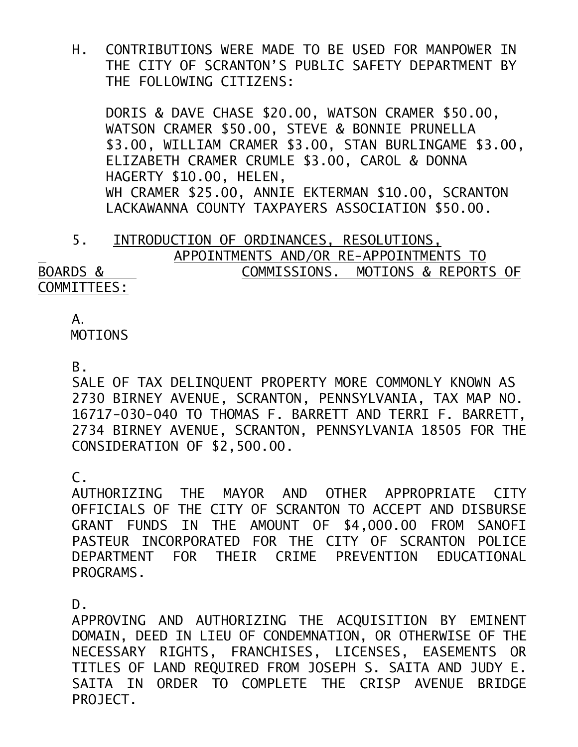H. CONTRIBUTIONS WERE MADE TO BE USED FOR MANPOWER IN THE CITY OF SCRANTON'S PUBLIC SAFETY DEPARTMENT BY THE FOLLOWING CITIZENS:

 DORIS & DAVE CHASE \$20.00, WATSON CRAMER \$50.00, WATSON CRAMER \$50.00, STEVE & BONNIE PRUNELLA \$3.00, WILLIAM CRAMER \$3.00, STAN BURLINGAME \$3.00, ELIZABETH CRAMER CRUMLE \$3.00, CAROL & DONNA HAGERTY \$10.00, HELEN, WH CRAMER \$25.00, ANNIE EKTERMAN \$10.00, SCRANTON LACKAWANNA COUNTY TAXPAYERS ASSOCIATION \$50.00.

 5. INTRODUCTION OF ORDINANCES, RESOLUTIONS, APPOINTMENTS AND/OR RE-APPOINTMENTS TO BOARDS & COMMISSIONS. MOTIONS & REPORTS OF COMMITTEES:

## A.

**MOTTONS** 

B.

SALE OF TAX DELINQUENT PROPERTY MORE COMMONLY KNOWN AS 2730 BIRNEY AVENUE, SCRANTON, PENNSYLVANIA, TAX MAP NO. 16717-030-040 TO THOMAS F. BARRETT AND TERRI F. BARRETT, 2734 BIRNEY AVENUE, SCRANTON, PENNSYLVANIA 18505 FOR THE CONSIDERATION OF \$2,500.00.

C.

AUTHORIZING THE MAYOR AND OTHER APPROPRIATE CITY OFFICIALS OF THE CITY OF SCRANTON TO ACCEPT AND DISBURSE GRANT FUNDS IN THE AMOUNT OF \$4,000.00 FROM SANOFI PASTEUR INCORPORATED FOR THE CITY OF SCRANTON POLICE DEPARTMENT FOR THEIR CRIME PREVENTION EDUCATIONAL PROGRAMS.

D.

APPROVING AND AUTHORIZING THE ACQUISITION BY EMINENT DOMAIN, DEED IN LIEU OF CONDEMNATION, OR OTHERWISE OF THE NECESSARY RIGHTS, FRANCHISES, LICENSES, EASEMENTS OR TITLES OF LAND REQUIRED FROM JOSEPH S. SAITA AND JUDY E. SAITA IN ORDER TO COMPLETE THE CRISP AVENUE BRIDGE PROJECT.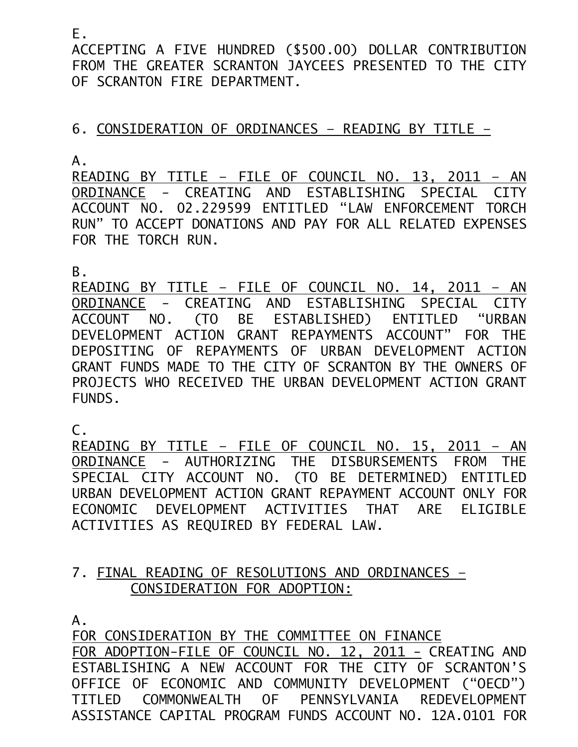E.

ACCEPTING A FIVE HUNDRED (\$500.00) DOLLAR CONTRIBUTION FROM THE GREATER SCRANTON JAYCEES PRESENTED TO THE CITY OF SCRANTON FIRE DEPARTMENT.

## 6. CONSIDERATION OF ORDINANCES – READING BY TITLE –

A.

READING BY TITLE – FILE OF COUNCIL NO. 13, 2011 – AN ORDINANCE - CREATING AND ESTABLISHING SPECIAL CITY ACCOUNT NO. 02.229599 ENTITLED "LAW ENFORCEMENT TORCH RUN" TO ACCEPT DONATIONS AND PAY FOR ALL RELATED EXPENSES FOR THE TORCH RUN.

B.

READING BY TITLE – FILE OF COUNCIL NO. 14, 2011 – AN ORDINANCE - CREATING AND ESTABLISHING SPECIAL CITY ACCOUNT NO. (TO BE ESTABLISHED) ENTITLED "URBAN DEVELOPMENT ACTION GRANT REPAYMENTS ACCOUNT" FOR THE DEPOSITING OF REPAYMENTS OF URBAN DEVELOPMENT ACTION GRANT FUNDS MADE TO THE CITY OF SCRANTON BY THE OWNERS OF PROJECTS WHO RECEIVED THE URBAN DEVELOPMENT ACTION GRANT FUNDS.

C.

READING BY TITLE – FILE OF COUNCIL NO. 15, 2011 – AN ORDINANCE - AUTHORIZING THE DISBURSEMENTS FROM THE SPECIAL CITY ACCOUNT NO. (TO BE DETERMINED) ENTITLED URBAN DEVELOPMENT ACTION GRANT REPAYMENT ACCOUNT ONLY FOR ECONOMIC DEVELOPMENT ACTIVITIES THAT ARE ELIGIBLE ACTIVITIES AS REQUIRED BY FEDERAL LAW.

## 7. FINAL READING OF RESOLUTIONS AND ORDINANCES – CONSIDERATION FOR ADOPTION:

A.

FOR CONSIDERATION BY THE COMMITTEE ON FINANCE FOR ADOPTION-FILE OF COUNCIL NO. 12, 2011 - CREATING AND ESTABLISHING A NEW ACCOUNT FOR THE CITY OF SCRANTON'S OFFICE OF ECONOMIC AND COMMUNITY DEVELOPMENT ("OECD") TITLED COMMONWEALTH OF PENNSYLVANIA REDEVELOPMENT ASSISTANCE CAPITAL PROGRAM FUNDS ACCOUNT NO. 12A.0101 FOR